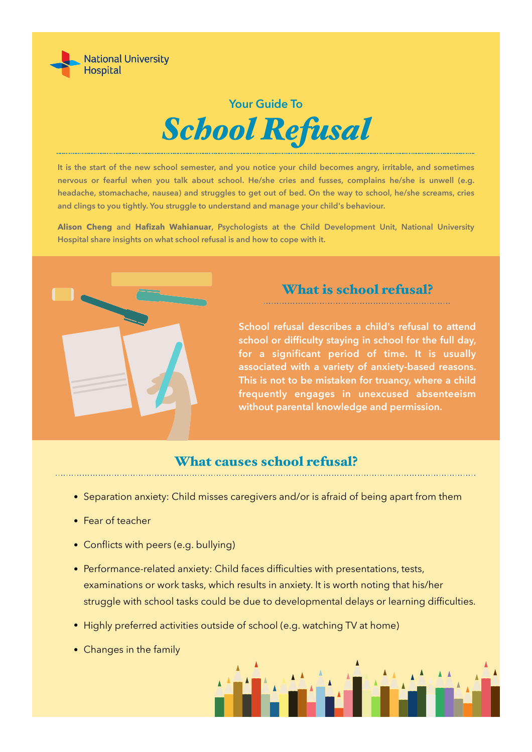

# **Your Guide To** *School Refusal*

**It is the start of the new school semester, and you notice your child becomes angry, irritable, and sometimes nervous or fearful when you talk about school. He/she cries and fusses, complains he/she is unwell (e.g. headache, stomachache, nausea) and struggles to get out of bed. On the way to school, he/she screams, cries and clings to you tightly. You struggle to understand and manage your child's behaviour.** 

**Alison Cheng and Hafizah Wahianuar, Psychologists at the Child Development Unit, National University Hospital share insights on what school refusal is and how to cope with it.**



### What is school refusal?

**School refusal describes a child's refusal to attend school or difficulty staying in school for the full day, for a significant period of time. It is usually associated with a variety of anxiety-based reasons. This is not to be mistaken for truancy, where a child frequently engages in unexcused absenteeism without parental knowledge and permission.**

#### What causes school refusal?

- Separation anxiety: Child misses caregivers and/or is afraid of being apart from them
- Fear of teacher
- Conflicts with peers (e.g. bullying)
- Performance-related anxiety: Child faces difficulties with presentations, tests, examinations or work tasks, which results in anxiety. It is worth noting that his/her struggle with school tasks could be due to developmental delays or learning difficulties.
- Highly preferred activities outside of school (e.g. watching TV at home)
- Changes in the family